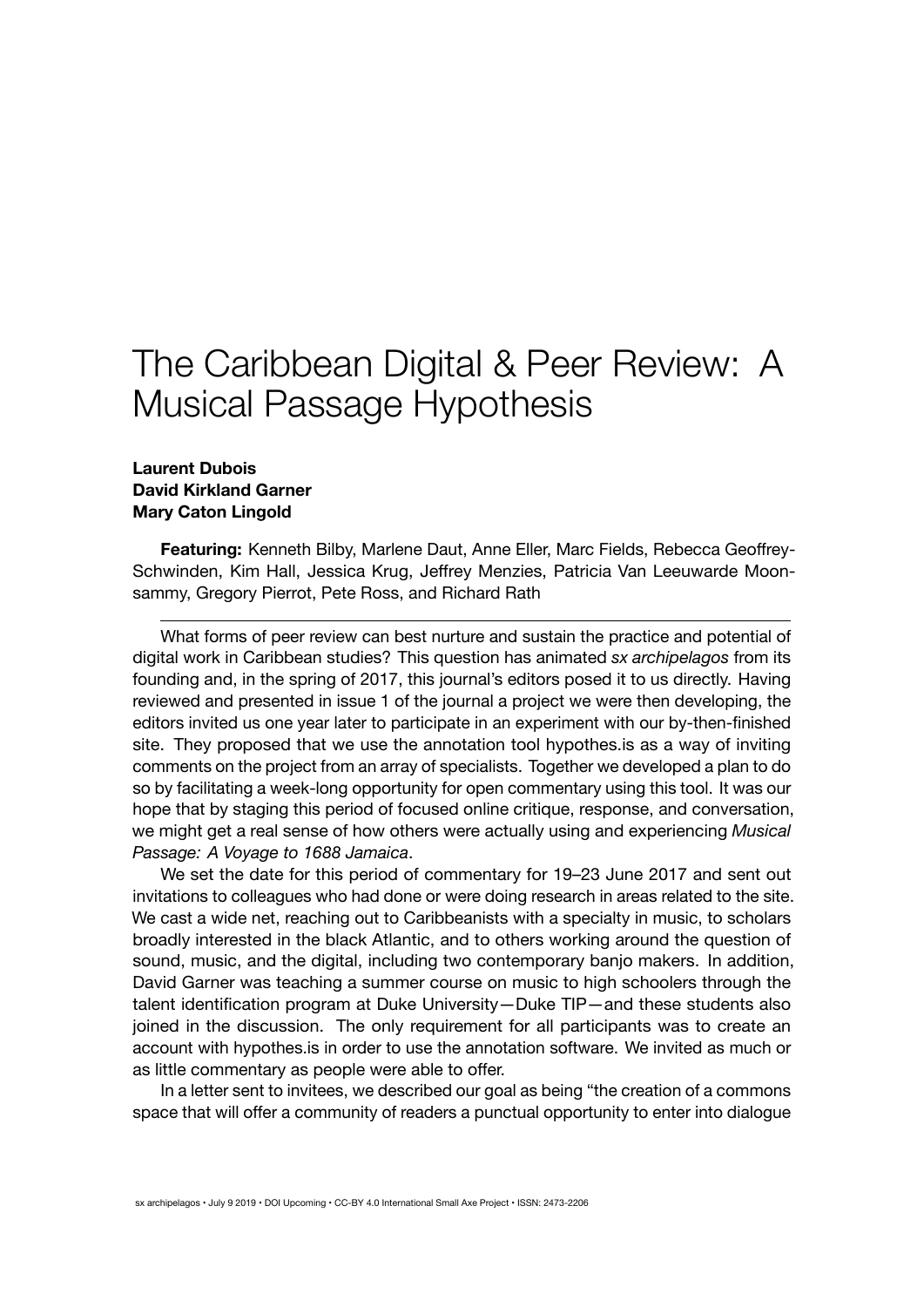# The Caribbean Digital & Peer Review: A Musical Passage Hypothesis

#### **Laurent Dubois David Kirkland Garner Mary Caton Lingold**

**Featuring:** Kenneth Bilby, Marlene Daut, Anne Eller, Marc Fields, Rebecca Geoffrey-Schwinden, Kim Hall, Jessica Krug, Jeffrey Menzies, Patricia Van Leeuwarde Moonsammy, Gregory Pierrot, Pete Ross, and Richard Rath

What forms of peer review can best nurture and sustain the practice and potential of digital work in Caribbean studies? This question has animated *sx archipelagos* from its founding and, in the spring of 2017, this journal's editors posed it to us directly. Having [reviewed and presented](http://smallaxe.net/sxarchipelagos/issue01/musical-passage.html) in issue 1 of the journal a project we were then developing, the editors invited us one year later to participate in an experiment with our by-then-finished site. They proposed that we use the annotation tool [hypothes.is](https://web.hypothes.is/) as a way of inviting comments on the project from an array of specialists. Together we developed a plan to do so by facilitating a week-long opportunity for open commentary using this tool. It was our hope that by staging this period of focused online critique, response, and conversation, we might get a real sense of how others were actually using and experiencing *[Musical](http://www.musicalpassage.org/) [Passage: A Voyage to 1688 Jamaica](http://www.musicalpassage.org/)*.

We set the date for this period of commentary for 19–23 June 2017 and sent out invitations to colleagues who had done or were doing research in areas related to the site. We cast a wide net, reaching out to Caribbeanists with a specialty in music, to scholars broadly interested in the black Atlantic, and to others working around the question of sound, music, and the digital, including two contemporary banjo makers. In addition, David Garner was teaching a summer course on music to high schoolers through the talent identification program at Duke University—Duke TIP—and these students also joined in the discussion. The only requirement for all participants was to create an account with hypothes.is in order to use the annotation software. We invited as much or as little commentary as people were able to offer.

In a letter sent to invitees, we described our goal as being "the creation of a commons space that will offer a community of readers a punctual opportunity to enter into dialogue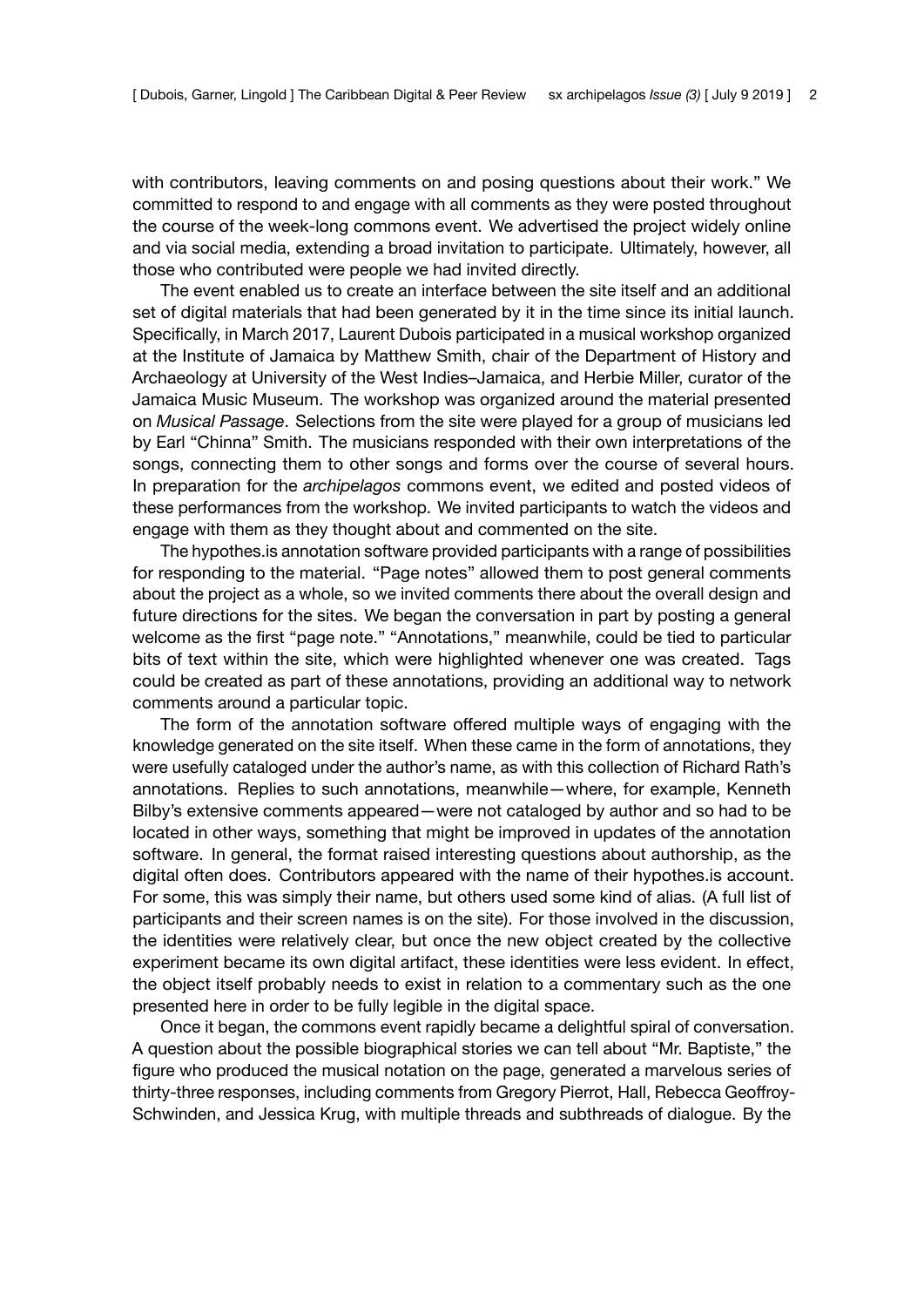with contributors, leaving comments on and posing questions about their work." We committed to respond to and engage with all comments as they were posted throughout the course of the week-long commons event. We advertised the project widely online and via social media, extending a broad invitation to participate. Ultimately, however, all those who contributed were people we had invited directly.

The event enabled us to create an interface between the site itself and an additional set of digital materials that had been generated by it in the time since its initial launch. Specifically, in March 2017, Laurent Dubois participated in a musical workshop organized at the Institute of Jamaica by Matthew Smith, chair of the Department of History and Archaeology at University of the West Indies–Jamaica, and Herbie Miller, curator of the Jamaica Music Museum. The workshop was organized around the material presented on *Musical Passage*. Selections from the site were played for a group of musicians led by Earl "Chinna" Smith. The musicians responded with their own interpretations of the songs, connecting them to other songs and forms over the course of several hours. In preparation for the *archipelagos* commons event, we edited and posted [videos](https://www.youtube.com/playlist?list=PLwcqVNt0EPDlGgT6ueKV_wjvPT1-tD_Y_) of these performances from the workshop. We invited participants to watch the videos and engage with them as they thought about and commented on the site.

The hypothes.is annotation software provided participants with a range of possibilities for responding to the material. "Page notes" allowed them to post general comments about the project as a whole, so we invited comments there about the overall design and future directions for the sites. We began the conversation in part by posting [a general](https://hyp.is/aB8tsjT9Eeey5C9oIr2voQ/www.musicalpassage.org/) [welcome](https://hyp.is/aB8tsjT9Eeey5C9oIr2voQ/www.musicalpassage.org/) as the first "page note." "Annotations," meanwhile, could be tied to particular bits of text within the site, which were highlighted whenever one was created. Tags could be created as part of these annotations, providing an additional way to network comments around a particular topic.

The form of the annotation software offered multiple ways of engaging with the knowledge generated on the site itself. When these came in the form of annotations, they were usefully cataloged under the author's name, as with this collection of [Richard Rath's](https://hypothes.is/users/rcrath) [annotations.](https://hypothes.is/users/rcrath) Replies to such annotations, meanwhile—where, for example, Kenneth Bilby's extensive comments appeared—were not cataloged by author and so had to be located in other ways, something that might be improved in updates of the annotation software. In general, the format raised interesting questions about authorship, as the digital often does. Contributors appeared with the name of their hypothes.is account. For some, this was simply their name, but others used some kind of alias. (A full list of participants and their screen names is on [the site\)](https://hyp.is/pBZX-kPTEemegFO8l_kIYg/www.musicalpassage.org/). For those involved in the discussion, the identities were relatively clear, but once the new object created by the collective experiment became its own digital artifact, these identities were less evident. In effect, the object itself probably needs to exist in relation to a commentary such as the one presented here in order to be fully legible in the digital space.

Once it began, the commons event rapidly became a delightful spiral of conversation. A question about the possible biographical stories we can tell about "Mr. Baptiste," the figure who produced the musical notation on the page, generateda [marvelous series of](https://hyp.is/72DokjUbEeeO-Kv7CZ8IeQ/www.musicalpassage.org/) [thirty-three](https://hyp.is/72DokjUbEeeO-Kv7CZ8IeQ/www.musicalpassage.org/) responses, including comments from Gregory Pierrot, Hall, Rebecca Geoffroy-Schwinden, and Jessica Krug, with multiple threads and subthreads of dialogue. By the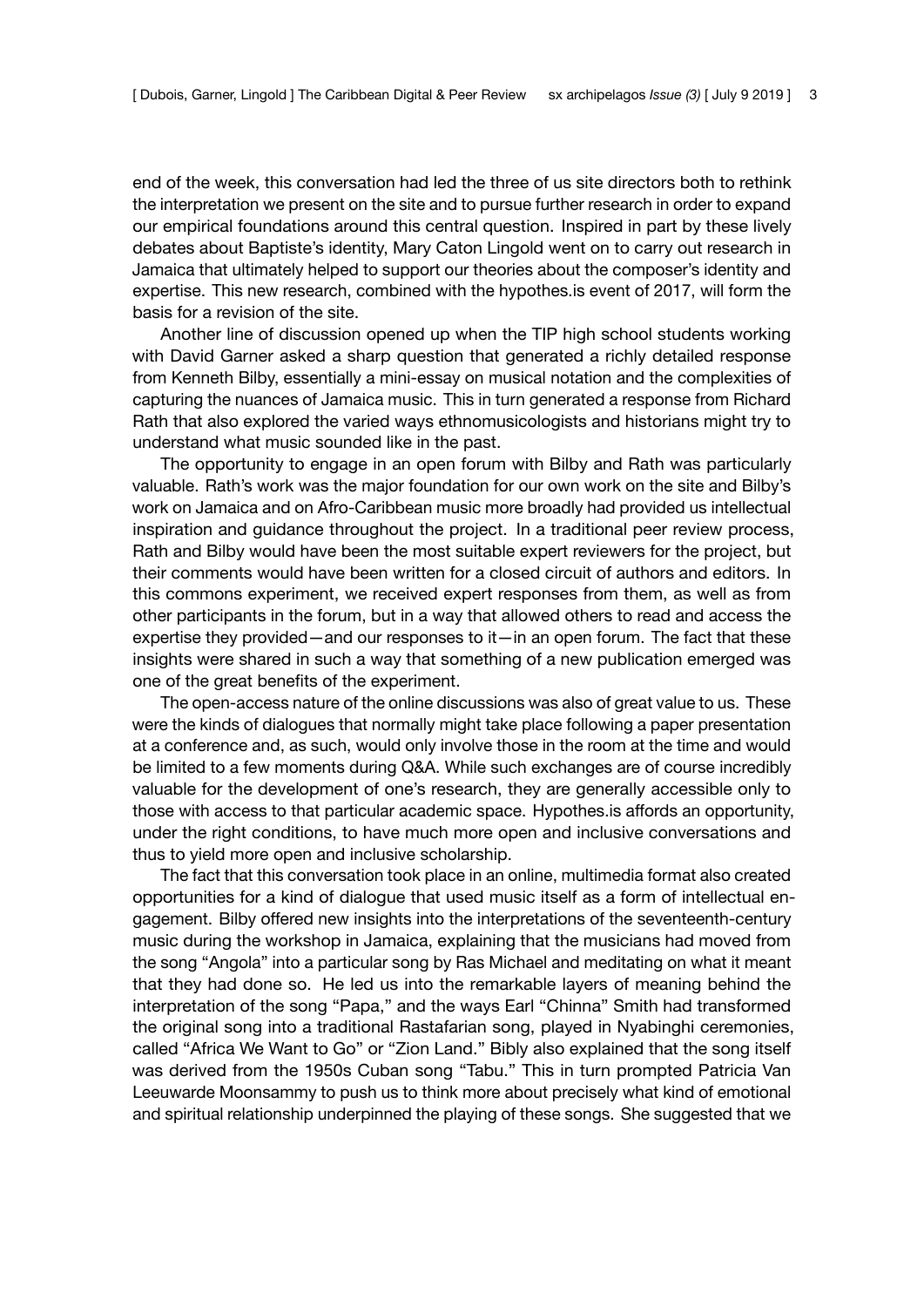end of the week, this conversation had led the three of us site directors both to rethink the interpretation we present on the site and to pursue further research in order to expand our empirical foundations around this central question. Inspired in part by these lively debates about Baptiste's identity, Mary Caton Lingold went on to carry out research in Jamaica that ultimately helped to support our theories about the composer's identity and expertise. This new research, combined with the hypothes.is event of 2017, will form the basis for a revision of the site.

Another line of discussion opened up when the TIP high school students working with David Garner askeda [sharp question](https://hyp.is/XF2mqldzEeeOH0sSRdtUwg/www.musicalpassage.org/) that generated a richly detailed response from Kenneth Bilby, essentially a mini-essay on musical notation and the complexities of capturing the nuances of Jamaica music. This in turn generated a [response](https://via.hypothes.is/http://www.musicalpassage.org/\#annotations:XF2mqldzEeeOH0sSRdtUwg) from Richard Rath that also explored the varied ways ethnomusicologists and historians might try to understand what music sounded like in the past.

The opportunity to engage in an open forum with Bilby and Rath was particularly valuable. Rath's work was the major foundation for our own work on the site and Bilby's work on Jamaica and on Afro-Caribbean music more broadly had provided us intellectual inspiration and guidance throughout the project. In a traditional peer review process, Rath and Bilby would have been the most suitable expert reviewers for the project, but their comments would have been written for a closed circuit of authors and editors. In this commons experiment, we received expert responses from them, as well as from other participants in the forum, but in a way that allowed others to read and access the expertise they provided—and our responses to it—in an open forum. The fact that these insights were shared in such a way that something of a new publication emerged was one of the great benefits of the experiment.

The open-access nature of the online discussions was also of great value to us. These were the kinds of dialogues that normally might take place following a paper presentation at a conference and, as such, would only involve those in the room at the time and would be limited to a few moments during Q&A. While such exchanges are of course incredibly valuable for the development of one's research, they are generally accessible only to those with access to that particular academic space. Hypothes.is affords an opportunity, under the right conditions, to have much more open and inclusive conversations and thus to yield more open and inclusive scholarship.

The fact that this conversation took place in an online, multimedia format also created opportunities for a kind of dialogue that used music itself as a form of intellectual engagement. Bilby offered new insights into the interpretations of the seventeenth-century music during the workshop in Jamaica, [explaining](https://hyp.is/WEVXAjWaEee3yrP-Zj8Brw/www.musicalpassage.org/) that the musicians had moved from the song "Angola" into a particular song by Ras Michael and meditating on what it meant that they had done so. He [led us](https://hyp.is/j3N8zDWaEeebgDtAtrs3uQ/www.musicalpassage.org/) into the remarkable layers of meaning behind the interpretation of the song "Papa," and the ways Earl "Chinna" Smith had transformed the original song into a traditional Rastafarian song, played in Nyabinghi ceremonies, called "Africa We Want to Go" or "Zion Land." Bibly also explained that the song itself was derived from the 1950s Cuban song "Tabu." This in turn prompted Patricia Van Leeuwarde Moonsammy to [push us](https://hyp.is/j3N8zDWaEeebgDtAtrs3uQ/www.musicalpassage.org/) to think more about precisely what kind of emotional and spiritual relationship underpinned the playing of these songs. She suggested that we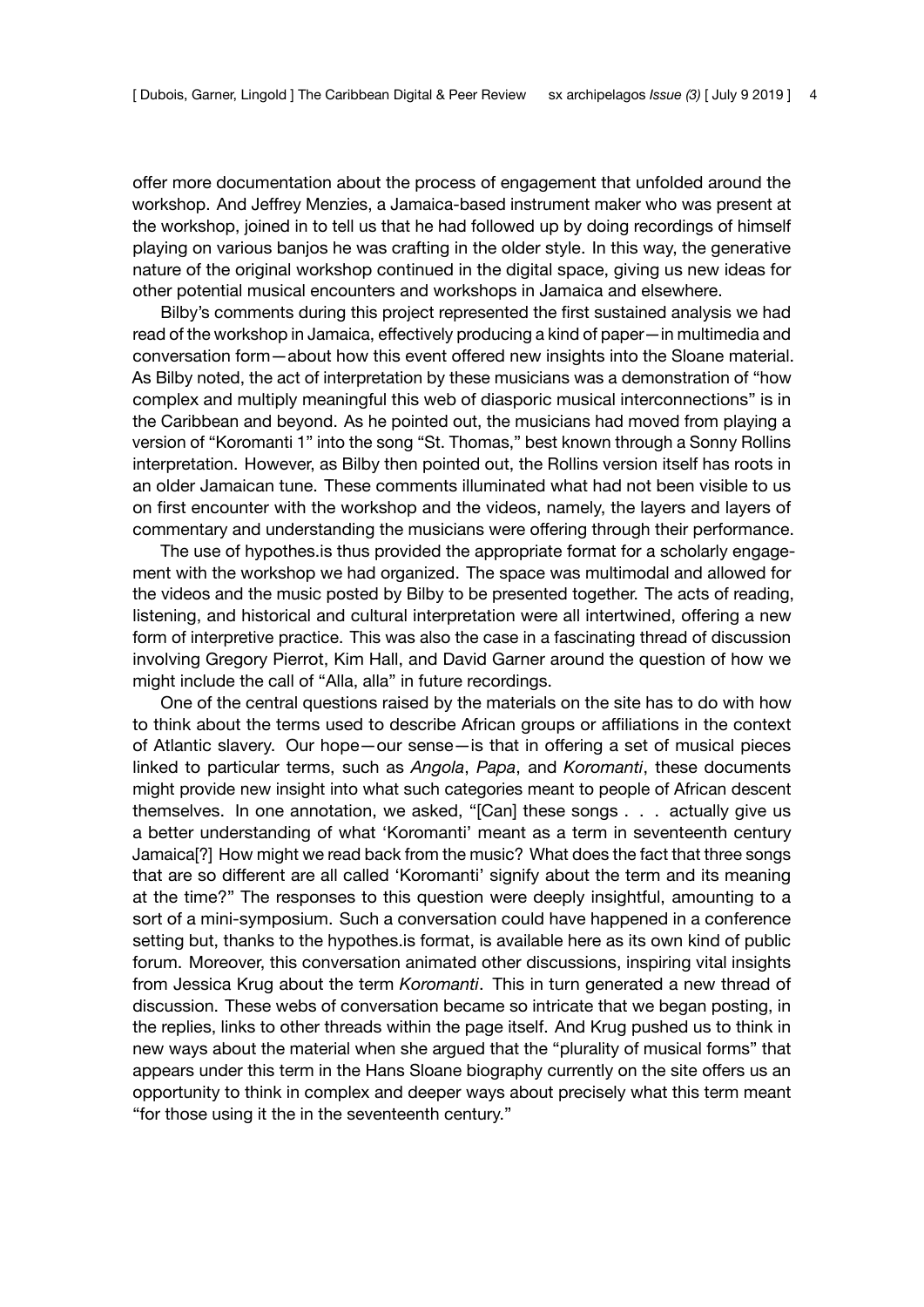offer more documentation about the process of engagement that unfolded around the workshop. And Jeffrey Menzies, a Jamaica-based instrument maker who was present at the workshop, [joined](https://hyp.is/HXUdMFZFEeeyOItnayd2ow/www.musicalpassage.org/) in to tell us that he had followed up by doing recordings of himself playing on various banjos he was crafting in the older style. In this way, the generative nature of the original workshop continued in the digital space, giving us new ideas for other potential musical encounters and workshops in Jamaica and elsewhere.

Bilby's comments during this project represented the first sustained analysis we had read of the workshop in Jamaica, effectively producing a kind of paper—in multimedia and conversation form—about how this event offered new insights into the Sloane material. As Bilby [noted,](https://hyp.is/dh2lklUoEeeiZesVMvM8HA/www.musicalpassage.org/) the act of interpretation by these musicians was a demonstration of "how complex and multiply meaningful this web of diasporic musical interconnections" is in the Caribbean and beyond. As he pointed out, the musicians had moved from playing a version of "Koromanti 1" into the song "St. Thomas," best known through a Sonny Rollins interpretation. However, as Bilby then pointed out, the Rollins version itself has roots in an older Jamaican tune. These comments illuminated what had not been visible to us on first encounter with the workshop and the videos, namely, the layers and layers of commentary and understanding the musicians were offering through their performance.

The use of hypothes.is thus provided the appropriate format for a scholarly engagement with the workshop we had organized. The space was multimodal and allowed for the videos and the music posted by Bilby to be presented together. The acts of reading, listening, and historical and cultural interpretation were all intertwined, offering a new form of interpretive practice. This was also the case in a [fascinating](https://hyp.is/DW5SSlXWEeeEEB83jLWSsg/www.musicalpassage.org/) thread of discussion involving Gregory Pierrot, Kim Hall, and David Garner around the question of how we might include the call of "Alla, alla" in future recordings.

One of the central questions raised by the materials on the site has to do with how to think about the terms used to describe African groups or affiliations in the context of Atlantic slavery. Our hope—our sense—is that in offering a set of musical pieces linked to particular terms, such as *Angola*, *Papa*, and *Koromanti*, these documents might provide new insight into what such categories meant to people of African descent themselves. In one annotation, we asked, "[Can] these songs . . . actually give us a better understanding of what 'Koromanti' meant as a term in seventeenth century Jamaica[?] How might we read back from the music? What does the fact that three songs that are so different are all called 'Koromanti' signify about the term and its meaning at the time?" The responses to this question were deeply insightful, amounting to a sort of [a mini-symposium.](https://hyp.is/LgtBnjWbEee6YnsGxVM5tQ/www.musicalpassage.org/) Such a conversation could have happened in a conference setting but, thanks to the hypothes.is format, is available here as its own kind of public forum. Moreover, this conversation animated other discussions, inspiring vital insights from [Jessica Krug](https://hypothes.is/users/Jessica_Krug) about the term *Koromanti*. This in turn generated a new [thread](https://hyp.is/vf5BZFddEeeQMyfszBXX9g/www.musicalpassage.org/) of discussion. These webs of conversation became so intricate that we began posting, in the replies, links to other threads within the page itself. And Krug pushed us to think in new ways about the material when she argued that the "plurality of musical forms" that appears under this term in the Hans Sloane biography currently on the site offers us an opportunity to think in complex and deeper ways about precisely what this term meant "for those using it the in the seventeenth century."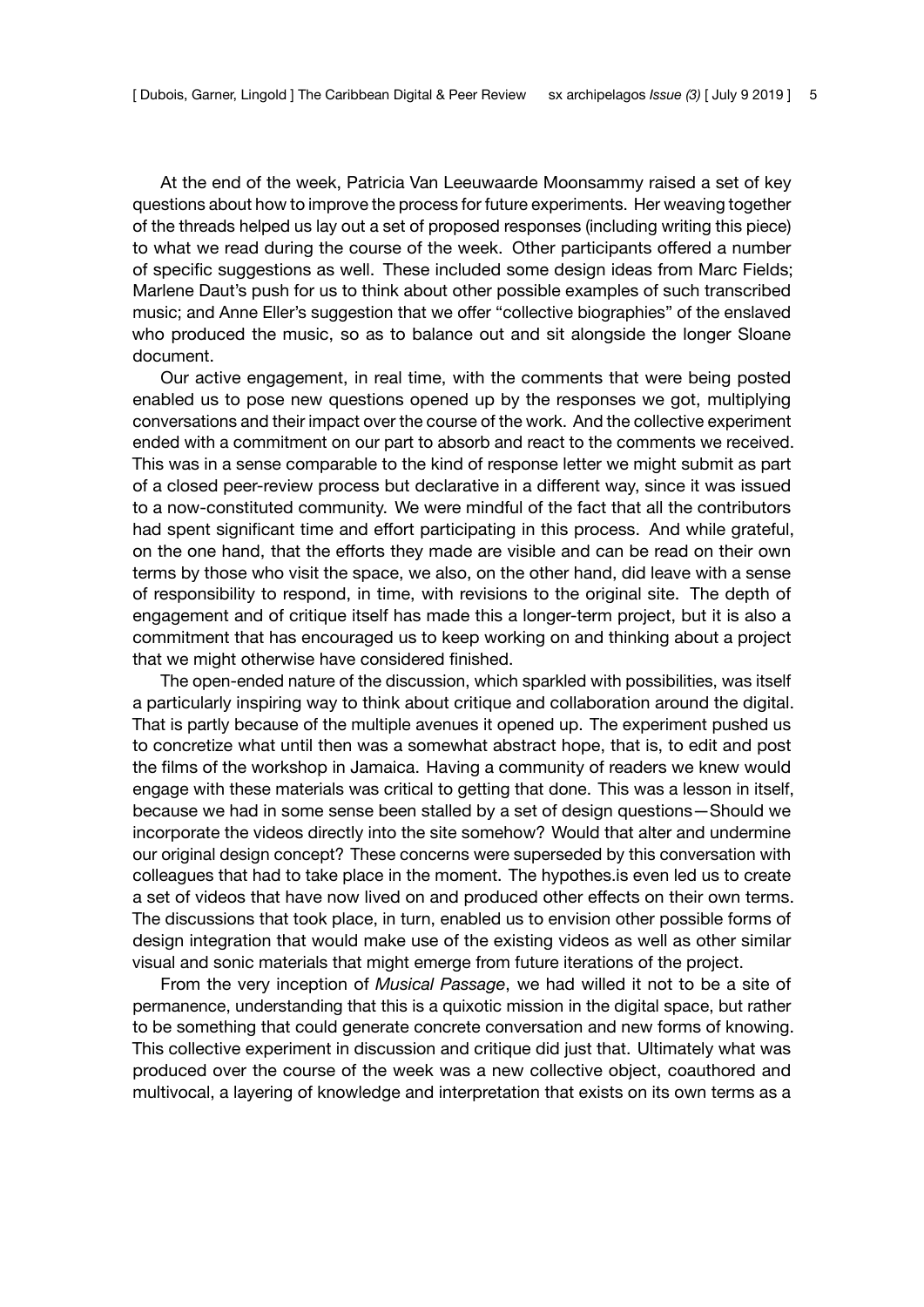At the end of the week, Patricia Van Leeuwaarde Moonsammy raised a set of [key](https://hyp.is/_57FhlhCEeekfyd-QZq8bA/www.musicalpassage.org/) [questions](https://hyp.is/_57FhlhCEeekfyd-QZq8bA/www.musicalpassage.org/) about how to improve the process for future experiments. Her weaving together of the threads helped us lay out a set of proposed [responses](https://hyp.is/yGW5XFh6EeerIWt4TdmnVA/www.musicalpassage.org/) (including writing this piece) to what we read during the course of the week. Other participants offered a number of specific suggestions as well. These included some [design](https://hyp.is/sThQlDWaEeegNiPXRncLMw/www.musicalpassage.org/) ideas from Marc Fields; Marlene Daut's push for us to think about other possible examples of such transcribed music; and [Anne Eller'](https://hypothes.is/users/aee54)s suggestion that we offer "collective biographies" of the enslaved who produced the music, so as to balance out and sit alongside the longer Sloane document.

Our active engagement, in real time, with the comments that were being posted enabled us to pose new questions opened up by the responses we got, multiplying conversations and their impact over the course of the work. And the collective experiment ended with a commitment on our part to absorb and react to the comments we received. This was in a sense comparable to the kind of response letter we might submit as part of a closed peer-review process but declarative in a different way, since it was issued to a now-constituted community. We were mindful of the fact that all the contributors had spent significant time and effort participating in this process. And while grateful, on the one hand, that the efforts they made are visible and can be read on their own terms by those who visit the space, we also, on the other hand, did leave with a sense of responsibility to respond, in time, with revisions to the original site. The depth of engagement and of critique itself has made this a longer-term project, but it is also a commitment that has encouraged us to keep working on and thinking about a project that we might otherwise have considered finished.

The open-ended nature of the discussion, which sparkled with possibilities, was itself a particularly inspiring way to think about critique and collaboration around the digital. That is partly because of the multiple avenues it opened up. The experiment pushed us to concretize what until then was a somewhat abstract hope, that is, to edit and post the films of the workshop in Jamaica. Having a community of readers we knew would engage with these materials was critical to getting that done. This was a lesson in itself, because we had in some sense been stalled by a set of design questions—Should we incorporate the videos directly into the site somehow? Would that alter and undermine our original design concept? These concerns were superseded by this conversation with colleagues that had to take place in the moment. The hypothes.is even led us to create a set of videos that have now lived on and produced other effects on their own terms. The discussions that took place, in turn, enabled us to envision other possible forms of design integration that would make use of the existing videos as well as other similar visual and sonic materials that might emerge from future iterations of the project.

From the very inception of *Musical Passage*, we had willed it not to be a site of permanence, understanding that this is a quixotic mission in the digital space, but rather to be something that could generate concrete conversation and new forms of knowing. This collective experiment in discussion and critique did just that. Ultimately what was produced over the course of the week was [a new collective object](https://via.hypothes.is/http://www.musicalpassage.org/), coauthored and multivocal, a layering of knowledge and interpretation that exists on its own terms as a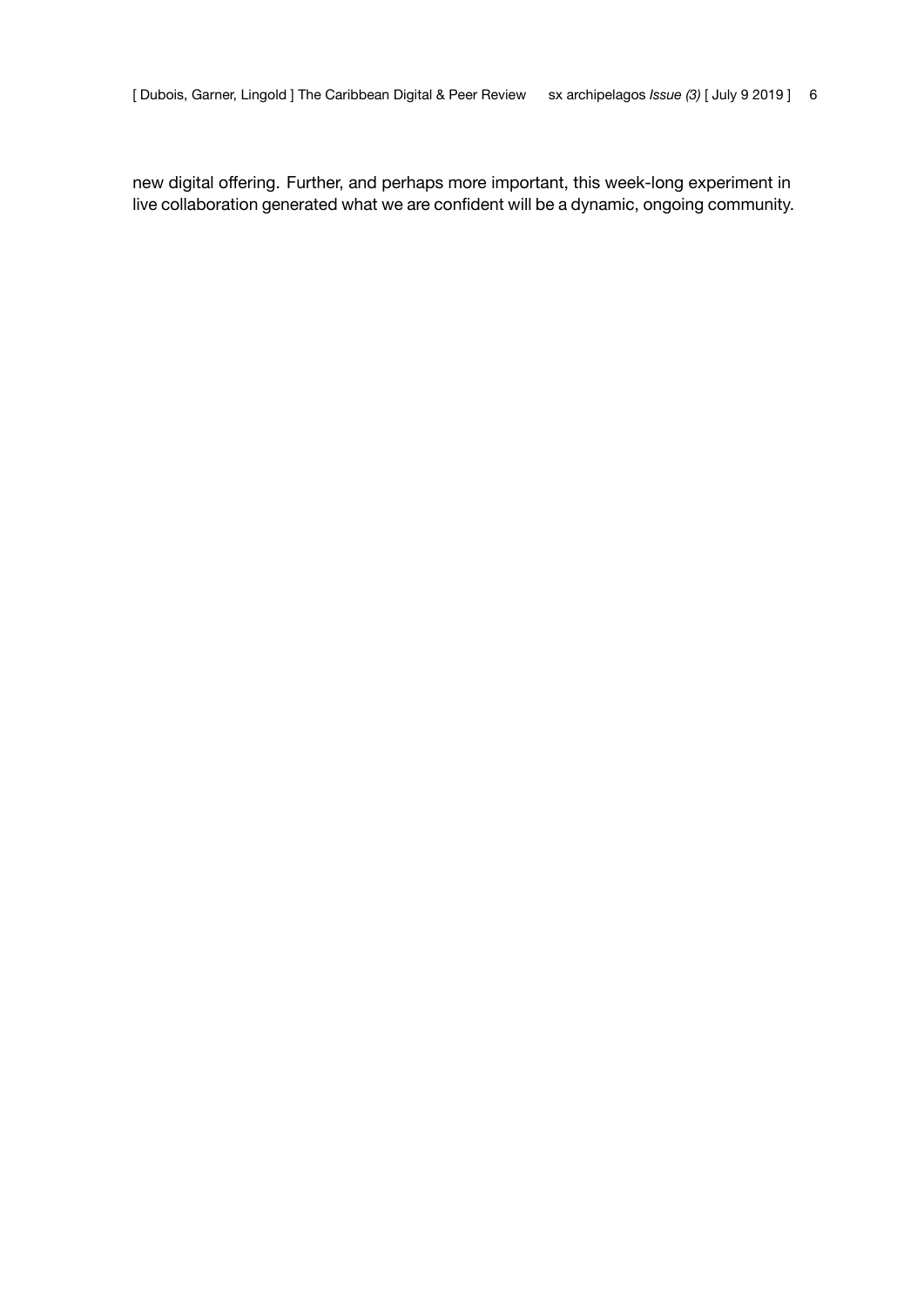new digital offering. Further, and perhaps more important, this week-long experiment in live collaboration generated what we are confident will be a dynamic, ongoing community.